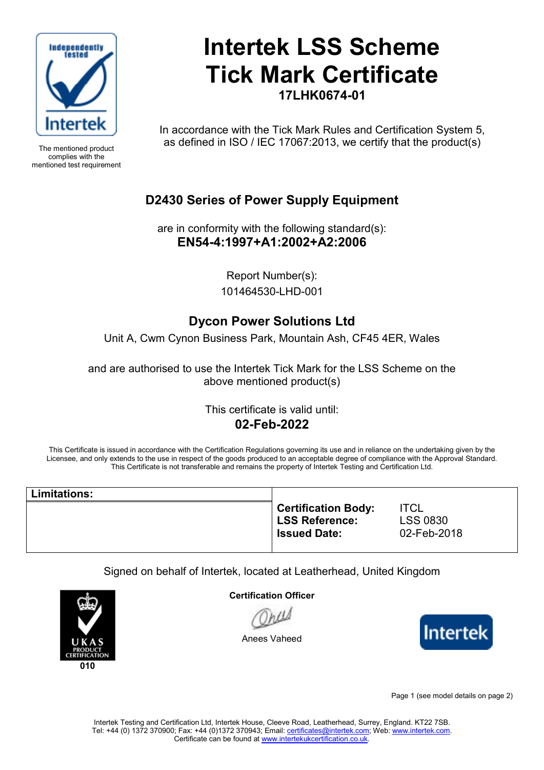

The mentioned product complies with the mentioned test requirement

# **Intertek LSS Scheme Tick Mark Certificate 17LHK0674-01**

In accordance with the Tick Mark Rules and Certification System 5, as defined in ISO / IEC 17067:2013, we certify that the product(s)

## **D2430 Series of Power Supply Equipment**

are in conformity with the following standard(s): **EN54-4:1997+A1:2002+A2:2006** 

> Report Number(s): 101464530-LHD-001

## **Dycon Power Solutions Ltd**

Unit A, Cwm Cynon Business Park, Mountain Ash, CF45 4ER, Wales

and are authorised to use the Intertek Tick Mark for the LSS Scheme on the above mentioned product(s)

### This certificate is valid until: **02-Feb-2022**

This Certificate is issued in accordance with the Certification Regulations governing its use and in reliance on the undertaking given by the Licensee, and only extends to the use in respect of the goods produced to an acceptable degree of compliance with the Approval Standard. This Certificate is not transferable and remains the property of Intertek Testing and Certification Ltd.

| Limitations: |                                                                     |                                               |
|--------------|---------------------------------------------------------------------|-----------------------------------------------|
|              | <b>Certification Body:</b><br>LSS Reference:<br><b>Issued Date:</b> | <b>ITCL</b><br><b>LSS 0830</b><br>02-Feb-2018 |

Signed on behalf of Intertek, located at Leatherhead, United Kingdom



**Certification Officer**

Anees Vaheed



Page 1 (see model details on page 2)